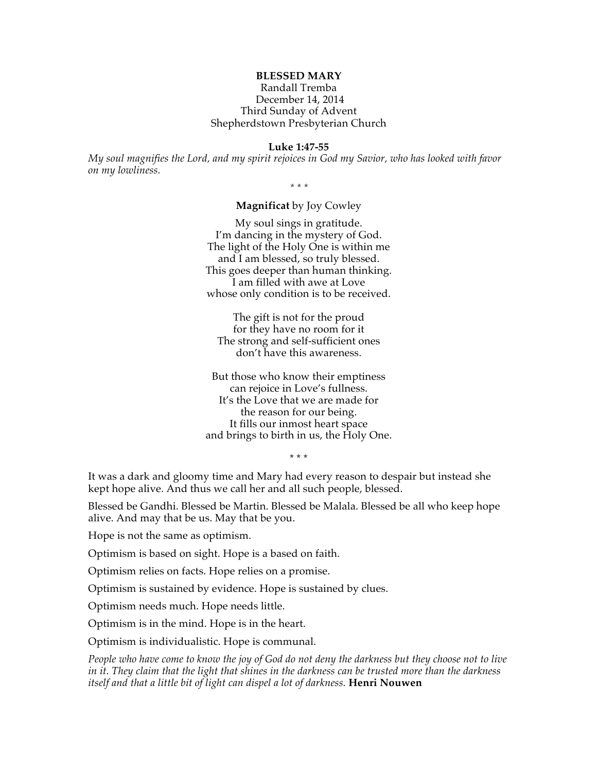# **BLESSED MARY**

### Randall Tremba December 14, 2014 Third Sunday of Advent Shepherdstown Presbyterian Church

#### **Luke 1:47-55**

*My soul magnifies the Lord, and my spirit rejoices in God my Savior, who has looked with favor on my lowliness.*

*\* \* \**

## **Magnificat** by Joy Cowley

My soul sings in gratitude. I'm dancing in the mystery of God. The light of the Holy One is within me and I am blessed, so truly blessed. This goes deeper than human thinking. I am filled with awe at Love whose only condition is to be received.

The gift is not for the proud for they have no room for it The strong and self-sufficient ones don't have this awareness.

But those who know their emptiness can rejoice in Love's fullness. It's the Love that we are made for the reason for our being. It fills our inmost heart space and brings to birth in us, the Holy One.

\* \* \*

It was a dark and gloomy time and Mary had every reason to despair but instead she kept hope alive. And thus we call her and all such people, blessed.

Blessed be Gandhi. Blessed be Martin. Blessed be Malala. Blessed be all who keep hope alive. And may that be us. May that be you.

Hope is not the same as optimism.

Optimism is based on sight. Hope is a based on faith.

Optimism relies on facts. Hope relies on a promise.

Optimism is sustained by evidence. Hope is sustained by clues.

Optimism needs much. Hope needs little.

Optimism is in the mind. Hope is in the heart.

Optimism is individualistic. Hope is communal.

*People who have come to know the joy of God do not deny the darkness but they choose not to live in it. They claim that the light that shines in the darkness can be trusted more than the darkness itself and that a little bit of light can dispel a lot of darkness.* **Henri Nouwen**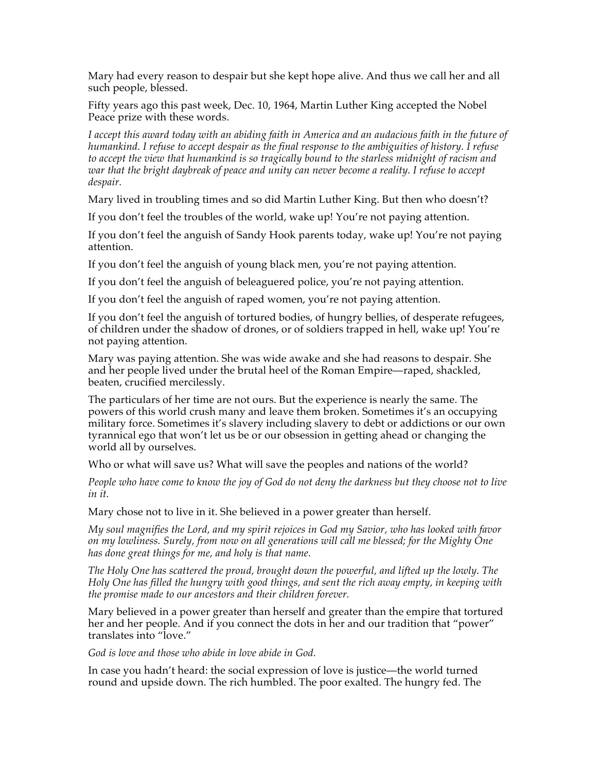Mary had every reason to despair but she kept hope alive. And thus we call her and all such people, blessed.

Fifty years ago this past week, Dec. 10, 1964, Martin Luther King accepted the Nobel Peace prize with these words.

*I accept this award today with an abiding faith in America and an audacious faith in the future of humankind. I refuse to accept despair as the final response to the ambiguities of history. I refuse to accept the view that humankind is so tragically bound to the starless midnight of racism and war that the bright daybreak of peace and unity can never become a reality. I refuse to accept despair.*

Mary lived in troubling times and so did Martin Luther King. But then who doesn't?

If you don't feel the troubles of the world, wake up! You're not paying attention.

If you don't feel the anguish of Sandy Hook parents today, wake up! You're not paying attention.

If you don't feel the anguish of young black men, you're not paying attention.

If you don't feel the anguish of beleaguered police, you're not paying attention.

If you don't feel the anguish of raped women, you're not paying attention.

If you don't feel the anguish of tortured bodies, of hungry bellies, of desperate refugees, of children under the shadow of drones, or of soldiers trapped in hell, wake up! You're not paying attention.

Mary was paying attention. She was wide awake and she had reasons to despair. She and her people lived under the brutal heel of the Roman Empire—raped, shackled, beaten, crucified mercilessly.

The particulars of her time are not ours. But the experience is nearly the same. The powers of this world crush many and leave them broken. Sometimes it's an occupying military force. Sometimes it's slavery including slavery to debt or addictions or our own tyrannical ego that won't let us be or our obsession in getting ahead or changing the world all by ourselves.

Who or what will save us? What will save the peoples and nations of the world?

*People who have come to know the joy of God do not deny the darkness but they choose not to live in it.* 

Mary chose not to live in it. She believed in a power greater than herself.

*My soul magnifies the Lord, and my spirit rejoices in God my Savior, who has looked with favor on my lowliness. Surely, from now on all generations will call me blessed; for the Mighty One has done great things for me, and holy is that name.*

*The Holy One has scattered the proud, brought down the powerful, and lifted up the lowly. The Holy One has filled the hungry with good things, and sent the rich away empty, in keeping with the promise made to our ancestors and their children forever.*

Mary believed in a power greater than herself and greater than the empire that tortured her and her people. And if you connect the dots in her and our tradition that "power" translates into "love."

*God is love and those who abide in love abide in God.*

In case you hadn't heard: the social expression of love is justice—the world turned round and upside down. The rich humbled. The poor exalted. The hungry fed. The